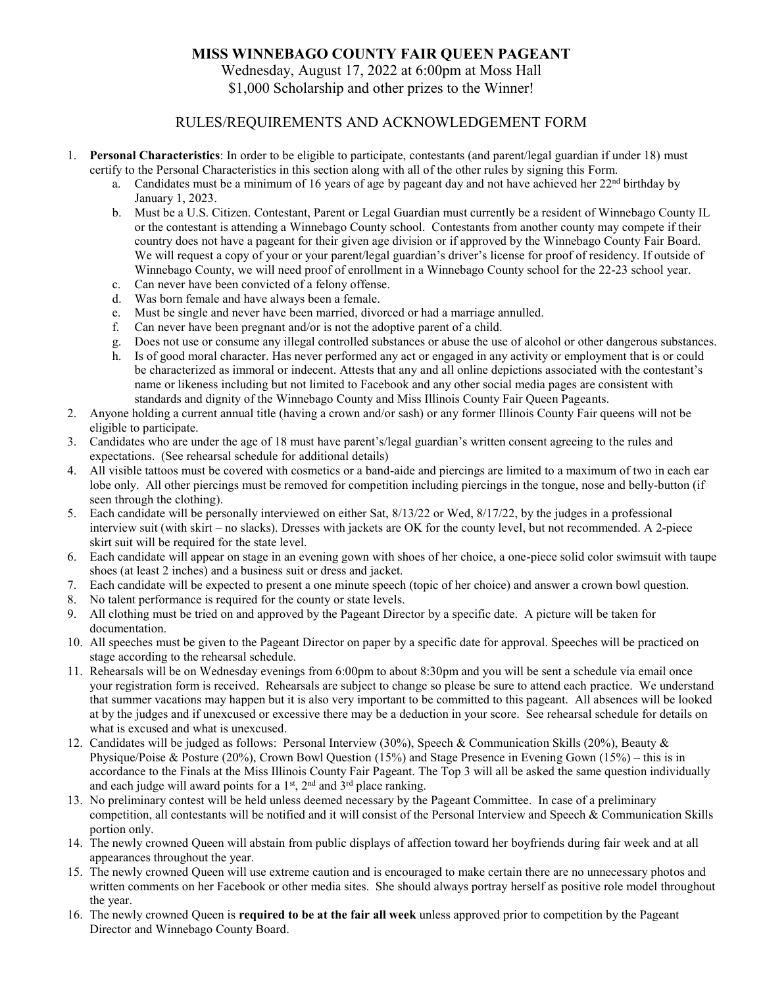## **MISS WINNEBAGO COUNTY FAIR QUEEN PAGEANT**

Wednesday, August 17, 2022 at 6:00pm at Moss Hall \$1,000 Scholarship and other prizes to the Winner!

## RULES/REQUIREMENTS AND ACKNOWLEDGEMENT FORM

- 1. **Personal Characteristics**: In order to be eligible to participate, contestants (and parent/legal guardian if under 18) must certify to the Personal Characteristics in this section along with all of the other rules by signing this Form.
	- a. Candidates must be a minimum of 16 years of age by pageant day and not have achieved her  $22<sup>nd</sup>$  birthday by January 1, 2023.
	- b. Must be a U.S. Citizen. Contestant, Parent or Legal Guardian must currently be a resident of Winnebago County IL or the contestant is attending a Winnebago County school. Contestants from another county may compete if their country does not have a pageant for their given age division or if approved by the Winnebago County Fair Board. We will request a copy of your or your parent/legal guardian's driver's license for proof of residency. If outside of Winnebago County, we will need proof of enrollment in a Winnebago County school for the 22-23 school year.
	- c. Can never have been convicted of a felony offense.
	- d. Was born female and have always been a female.
	- e. Must be single and never have been married, divorced or had a marriage annulled.
	- f. Can never have been pregnant and/or is not the adoptive parent of a child.
	- g. Does not use or consume any illegal controlled substances or abuse the use of alcohol or other dangerous substances.
	- h. Is of good moral character. Has never performed any act or engaged in any activity or employment that is or could be characterized as immoral or indecent. Attests that any and all online depictions associated with the contestant's name or likeness including but not limited to Facebook and any other social media pages are consistent with standards and dignity of the Winnebago County and Miss Illinois County Fair Queen Pageants.
- 2. Anyone holding a current annual title (having a crown and/or sash) or any former Illinois County Fair queens will not be eligible to participate.
- 3. Candidates who are under the age of 18 must have parent's/legal guardian's written consent agreeing to the rules and expectations. (See rehearsal schedule for additional details)
- 4. All visible tattoos must be covered with cosmetics or a band-aide and piercings are limited to a maximum of two in each ear lobe only. All other piercings must be removed for competition including piercings in the tongue, nose and belly-button (if seen through the clothing).
- 5. Each candidate will be personally interviewed on either Sat, 8/13/22 or Wed, 8/17/22, by the judges in a professional interview suit (with skirt – no slacks). Dresses with jackets are OK for the county level, but not recommended. A 2-piece skirt suit will be required for the state level.
- 6. Each candidate will appear on stage in an evening gown with shoes of her choice, a one-piece solid color swimsuit with taupe shoes (at least 2 inches) and a business suit or dress and jacket.
- 7. Each candidate will be expected to present a one minute speech (topic of her choice) and answer a crown bowl question.
- 8. No talent performance is required for the county or state levels.
- 9. All clothing must be tried on and approved by the Pageant Director by a specific date. A picture will be taken for documentation.
- 10. All speeches must be given to the Pageant Director on paper by a specific date for approval. Speeches will be practiced on stage according to the rehearsal schedule.
- 11. Rehearsals will be on Wednesday evenings from 6:00pm to about 8:30pm and you will be sent a schedule via email once your registration form is received. Rehearsals are subject to change so please be sure to attend each practice. We understand that summer vacations may happen but it is also very important to be committed to this pageant. All absences will be looked at by the judges and if unexcused or excessive there may be a deduction in your score. See rehearsal schedule for details on what is excused and what is unexcused.
- 12. Candidates will be judged as follows: Personal Interview (30%), Speech & Communication Skills (20%), Beauty & Physique/Poise & Posture (20%), Crown Bowl Question (15%) and Stage Presence in Evening Gown (15%) – this is in accordance to the Finals at the Miss Illinois County Fair Pageant. The Top 3 will all be asked the same question individually and each judge will award points for a  $1<sup>st</sup>$ ,  $2<sup>nd</sup>$  and  $3<sup>rd</sup>$  place ranking.
- 13. No preliminary contest will be held unless deemed necessary by the Pageant Committee. In case of a preliminary competition, all contestants will be notified and it will consist of the Personal Interview and Speech & Communication Skills portion only.
- 14. The newly crowned Queen will abstain from public displays of affection toward her boyfriends during fair week and at all appearances throughout the year.
- 15. The newly crowned Queen will use extreme caution and is encouraged to make certain there are no unnecessary photos and written comments on her Facebook or other media sites. She should always portray herself as positive role model throughout the year.
- 16. The newly crowned Queen is **required to be at the fair all week** unless approved prior to competition by the Pageant Director and Winnebago County Board.